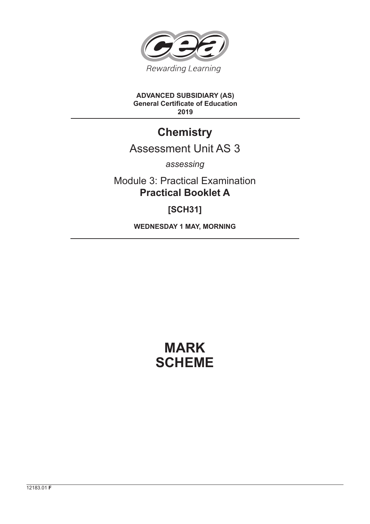

## **ADVANCED SUBSIDIARY (AS) General Certificate of Education 2019**

## **Chemistry**

## Assessment Unit AS 3

*assessing*

Module 3: Practical Examination **Practical Booklet A**

**[SCH31]**

**WEDNESDAY 1 MAY, MORNING**

## **MARK SCHEME**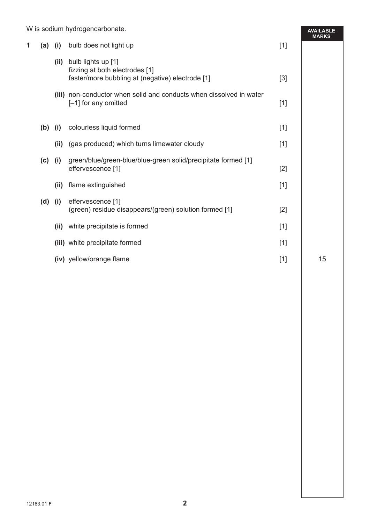W is sodium hydrogencarbonate.

|   |           |      |                                                                                                          |       | <b>MARKS</b> |
|---|-----------|------|----------------------------------------------------------------------------------------------------------|-------|--------------|
| 1 | (a)       | (i)  | bulb does not light up                                                                                   | $[1]$ |              |
|   |           | (ii) | bulb lights up [1]<br>fizzing at both electrodes [1]<br>faster/more bubbling at (negative) electrode [1] | $[3]$ |              |
|   |           |      | (iii) non-conductor when solid and conducts when dissolved in water<br>$[-1]$ for any omitted            | $[1]$ |              |
|   | $(b)$ (i) |      | colourless liquid formed                                                                                 | $[1]$ |              |
|   |           | (ii) | (gas produced) which turns limewater cloudy                                                              | $[1]$ |              |
|   | (c)       | (i)  | green/blue/green-blue/blue-green solid/precipitate formed [1]<br>effervescence [1]                       | $[2]$ |              |
|   |           | (ii) | flame extinguished                                                                                       | $[1]$ |              |
|   | (d)       | (i)  | effervescence [1]<br>(green) residue disappears/(green) solution formed [1]                              | $[2]$ |              |
|   |           | (ii) | white precipitate is formed                                                                              | $[1]$ |              |
|   |           |      | (iii) white precipitate formed                                                                           | $[1]$ |              |
|   |           |      | (iv) yellow/orange flame                                                                                 | $[1]$ | 15           |
|   |           |      |                                                                                                          |       |              |

**AVAILABLE**